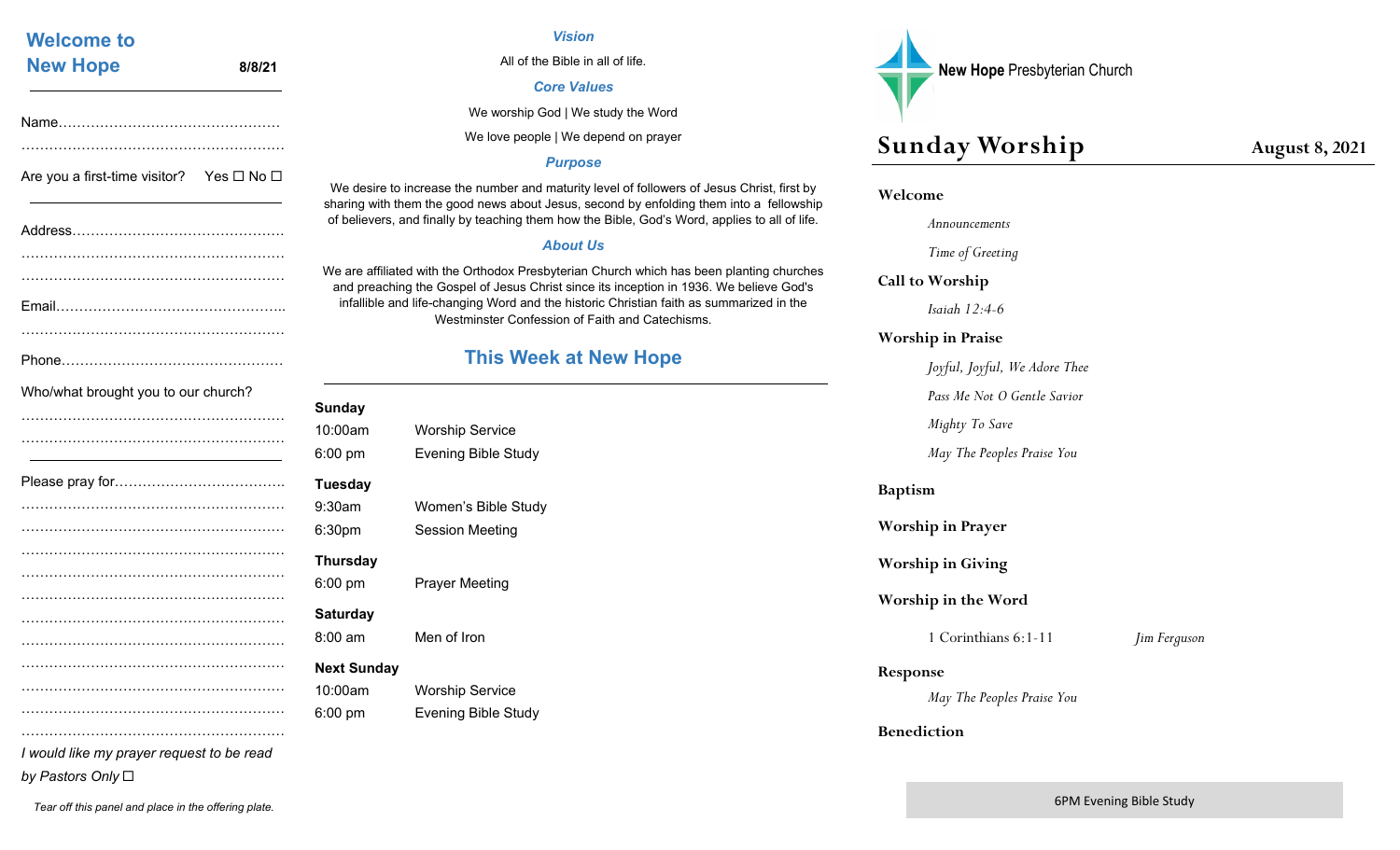| <b>Welcome to</b>                                        |        |                             |
|----------------------------------------------------------|--------|-----------------------------|
| <b>New Hope</b>                                          | 8/8/21 |                             |
|                                                          |        |                             |
| Are you a first-time visitor? Yes $\square$ No $\square$ |        | We desir<br>sharing wi      |
|                                                          |        | of believe                  |
|                                                          |        | We are aff<br>and prea      |
|                                                          |        | infallible                  |
|                                                          |        |                             |
| Who/what brought you to our church?                      |        | Sunday                      |
|                                                          |        | 10:00am<br>$6:00$ pm        |
|                                                          |        | <b>Tuesday</b>              |
|                                                          |        | 9:30am<br>6:30pm            |
|                                                          |        | <b>Thursday</b>             |
|                                                          |        | $6:00$ pm                   |
|                                                          |        | <b>Saturday</b><br>8:00 am  |
|                                                          |        |                             |
|                                                          |        | <b>Next Sund</b><br>10:00am |
|                                                          |        | 6:00 pm                     |
| I would like my prayer request to be read                |        |                             |

*by Pastors Only*

#### *Vision*

All of the Bible in all of life.

#### *Core Values*

We worship God | We study the Word

We love people | We depend on prayer

#### *Purpose*

esire to increase the number and maturity level of followers of Jesus Christ, first by with them the good news about Jesus, second by enfolding them into a fellowship evers, and finally by teaching them how the Bible, God's Word, applies to all of life.

#### *About Us*

affiliated with the Orthodox Presbyterian Church which has been planting churches reaching the Gospel of Jesus Christ since its inception in 1936. We believe God's ible and life-changing Word and the historic Christian faith as summarized in the Westminster Confession of Faith and Catechisms.

# **This Week at New Hope**

| Sunday             |                            |
|--------------------|----------------------------|
| 10:00am            | <b>Worship Service</b>     |
| 6:00 pm            | <b>Evening Bible Study</b> |
| Tuesday            |                            |
| 9:30am             | Women's Bible Study        |
| 6:30pm             | <b>Session Meeting</b>     |
| Thursday           |                            |
| 6:00 pm            | <b>Prayer Meeting</b>      |
| Saturday           |                            |
| 8:00 am            | Men of Iron                |
| <b>Next Sunday</b> |                            |
| 10:00am            | <b>Worship Service</b>     |
| 6:00 pm            | <b>Evening Bible Study</b> |
|                    |                            |



# **Sunday Worship August 8, 2021**

#### **Welcome**

 *Announcements* 

 *Time of Greeting* 

**Call to Worship** 

*Isaiah 12:4-6* 

#### **Worship in Praise**

*Joyful, Joyful, We Adore Thee* 

 *Pass Me Not O Gentle Savior* 

 *Mighty To Save* 

 *May The Peoples Praise You*

#### **Baptism**

**Worship in Prayer** 

**Worship in Giving** 

**Worship in the Word** 

1 Corinthians 6:1-11 *Jim Ferguson* 

#### **Response**

*May The Peoples Praise You* 

#### **Benediction**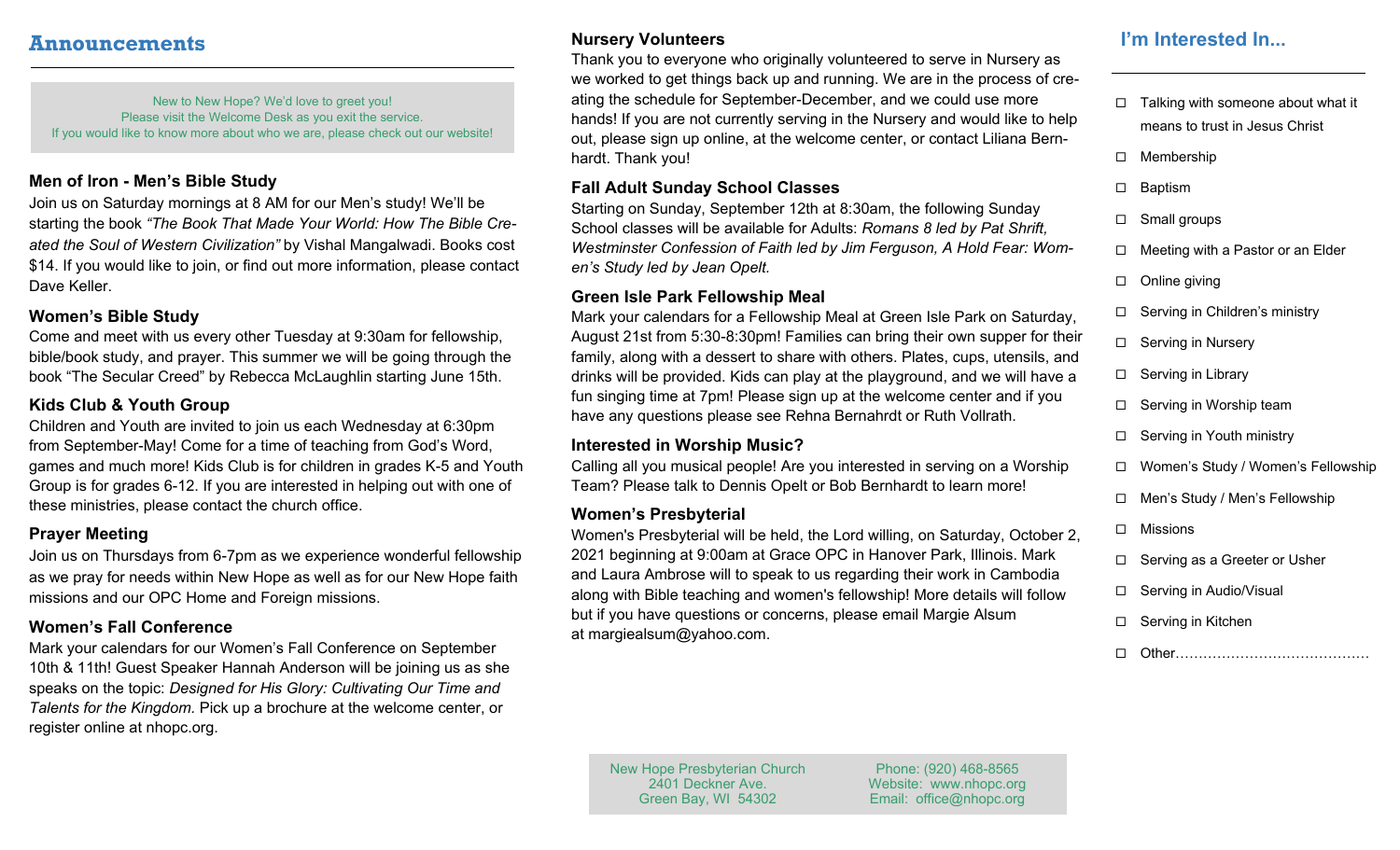## **Announcements**

New to New Hope? We'd love to greet you! Please visit the Welcome Desk as you exit the service. If you would like to know more about who we are, please check out our website!

## **Men of Iron - Men's Bible Study**

Join us on Saturday mornings at 8 AM for our Men's study! We'll be starting the book *"The Book That Made Your World: How The Bible Created the Soul of Western Civilization"* by Vishal Mangalwadi. Books cost \$14. If you would like to join, or find out more information, please contact Dave Keller.

## **Women's Bible Study**

Come and meet with us every other Tuesday at 9:30am for fellowship, bible/book study, and prayer. This summer we will be going through the book "The Secular Creed" by Rebecca McLaughlin starting June 15th.

## **Kids Club & Youth Group**

Children and Youth are invited to join us each Wednesday at 6:30pm from September-May! Come for a time of teaching from God's Word, games and much more! Kids Club is for children in grades K-5 and Youth Group is for grades 6-12. If you are interested in helping out with one of these ministries, please contact the church office.

## **Prayer Meeting**

Join us on Thursdays from 6-7pm as we experience wonderful fellowship as we pray for needs within New Hope as well as for our New Hope faith missions and our OPC Home and Foreign missions.

## **Women's Fall Conference**

Mark your calendars for our Women's Fall Conference on September 10th & 11th! Guest Speaker Hannah Anderson will be joining us as she speaks on the topic: *Designed for His Glory: Cultivating Our Time and Talents for the Kingdom.* Pick up a brochure at the welcome center, or register online at nhopc.org.

## **Nursery Volunteers**

Thank you to everyone who originally volunteered to serve in Nursery as we worked to get things back up and running. We are in the process of creating the schedule for September-December, and we could use more hands! If you are not currently serving in the Nursery and would like to help out, please sign up online, at the welcome center, or contact Liliana Bernhardt. Thank you!

#### **Fall Adult Sunday School Classes**

Starting on Sunday, September 12th at 8:30am, the following Sunday School classes will be available for Adults: *Romans 8 led by Pat Shrift, Westminster Confession of Faith led by Jim Ferguson, A Hold Fear: Women's Study led by Jean Opelt.* 

## **Green Isle Park Fellowship Meal**

Mark your calendars for a Fellowship Meal at Green Isle Park on Saturday, August 21st from 5:30-8:30pm! Families can bring their own supper for their family, along with a dessert to share with others. Plates, cups, utensils, and drinks will be provided. Kids can play at the playground, and we will have a fun singing time at 7pm! Please sign up at the welcome center and if you have any questions please see Rehna Bernahrdt or Ruth Vollrath.

## **Interested in Worship Music?**

Calling all you musical people! Are you interested in serving on a Worship Team? Please talk to Dennis Opelt or Bob Bernhardt to learn more!

## **Women's Presbyterial**

Women's Presbyterial will be held, the Lord willing, on Saturday, October 2, 2021 beginning at 9:00am at Grace OPC in Hanover Park, Illinois. Mark and Laura Ambrose will to speak to us regarding their work in Cambodia along with Bible teaching and women's fellowship! More details will follow but if you have questions or concerns, please email Margie Alsum at margiealsum@yahoo.com.

# **I'm Interested In...**

- $\Box$  Talking with someone about what it means to trust in Jesus Christ
- □ Membership
- □ Baptism
- □ Small groups
- $\Box$  Meeting with a Pastor or an Elder
- $\Box$  Online giving
- □ Serving in Children's ministry
- □ Serving in Nursery
- $\Box$  Serving in Library
- □ Serving in Worship team
- □ Serving in Youth ministry
- Women's Study / Women's Fellowship
- □ Men's Study / Men's Fellowship
- □ Missions
- □ Serving as a Greeter or Usher
- $\Box$  Serving in Audio/Visual
- □ Serving in Kitchen
- □ Other…………………………………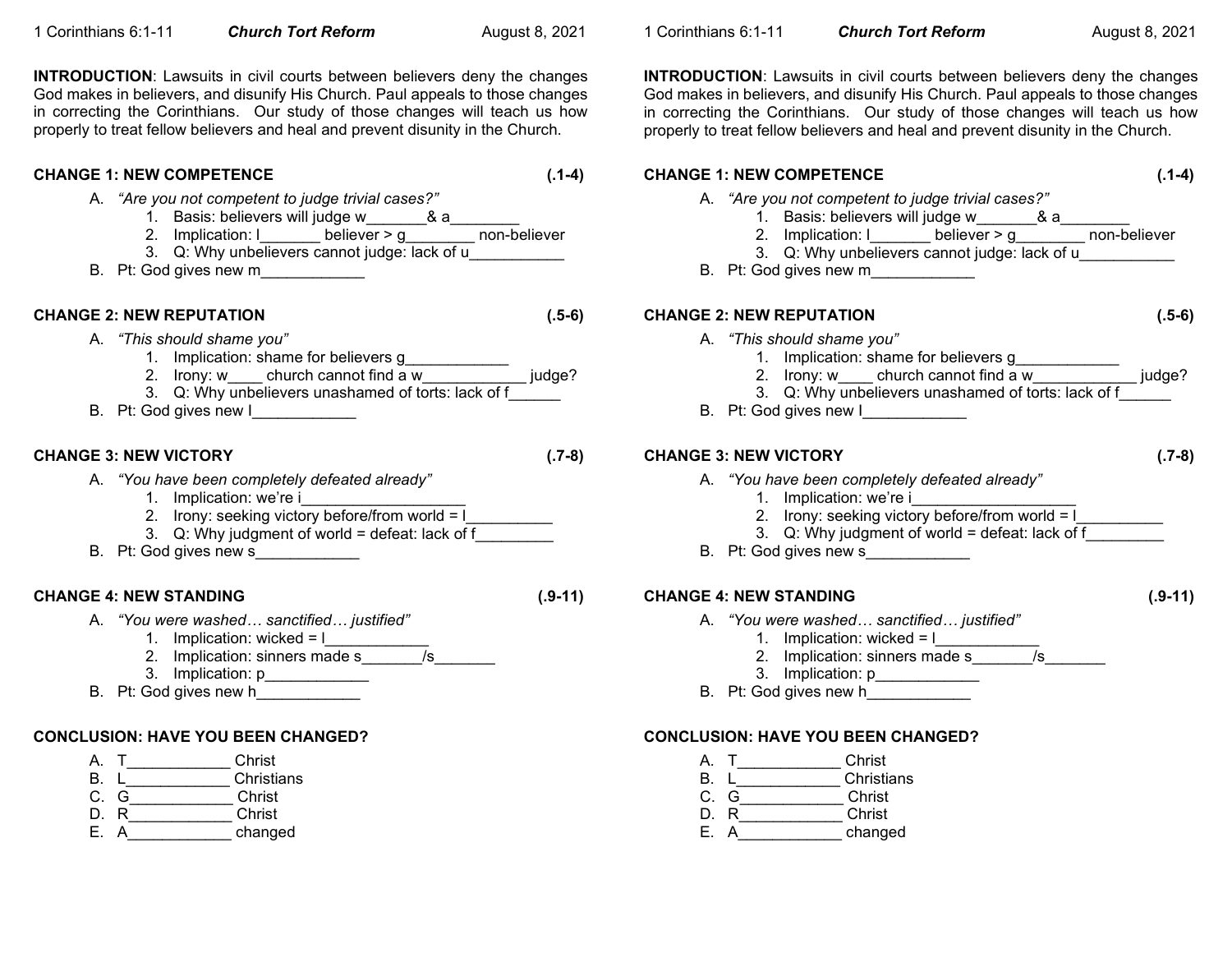**INTRODUCTION:** Lawsuits in civil courts between believers deny the changes God makes in believers, and disunify His Church. Paul appeals to those changes in correcting the Corinthians. Our study of those changes will teach us how properly to treat fellow believers and heal and prevent disunity in the Church.

## **CHANGE 1: NEW COMPETENCE (.1-4)** A. *"Are you not competent to judge trivial cases?"*  1. Basis: believers will judge w\_\_\_\_\_\_\_& a\_\_\_\_\_\_\_\_ 2. Implication: l\_\_\_\_\_\_\_ believer > g\_\_\_\_\_\_\_\_ non-believer 3. Q: Why unbelievers cannot judge: lack of u\_\_\_\_\_\_\_\_\_\_\_ B. Pt: God gives new m\_\_\_\_\_\_\_\_\_\_\_\_ **CHANGE 2: NEW REPUTATION (.5-6)** A. *"This should shame you"* 1. Implication: shame for believers g\_\_\_\_\_\_\_\_\_\_\_\_ 2. Irony: w\_\_\_\_ church cannot find a w\_\_\_\_\_\_\_\_\_\_\_\_\_ judge? 3. Q: Why unbelievers unashamed of torts: lack of f\_ B. Pt: God gives new I **CHANGE 3: NEW VICTORY (.7-8)** A. *"You have been completely defeated already"* 1. Implication: we're i 2. Irony: seeking victory before/from world = l\_\_\_\_\_\_\_\_\_\_\_\_\_\_\_\_\_\_\_\_\_\_\_\_\_\_\_\_\_\_\_\_\_ 3. Q: Why judgment of world = defeat: lack of  $\overline{f}$ B. Pt: God gives new s **CHANGE 4: NEW STANDING (.9-11)** A. *"You were washed… sanctified… justified"* 1. Implication: wicked =  $\lfloor$ 2. Implication: sinners made s\_\_\_\_\_\_\_/s\_\_\_\_\_\_\_ 3. Implication: p\_\_\_\_\_\_\_\_\_\_\_\_ B. Pt: God gives new h **CONCLUSION: HAVE YOU BEEN CHANGED?** A. T\_\_\_\_\_\_\_\_\_\_\_\_ Christ B. L\_\_\_\_\_\_\_\_\_\_\_\_\_\_\_ Christians

- C. G\_\_\_\_\_\_\_\_\_\_\_\_ Christ
- D. R\_\_\_\_\_\_\_\_\_\_\_\_ Christ
- E. A changed
- 
-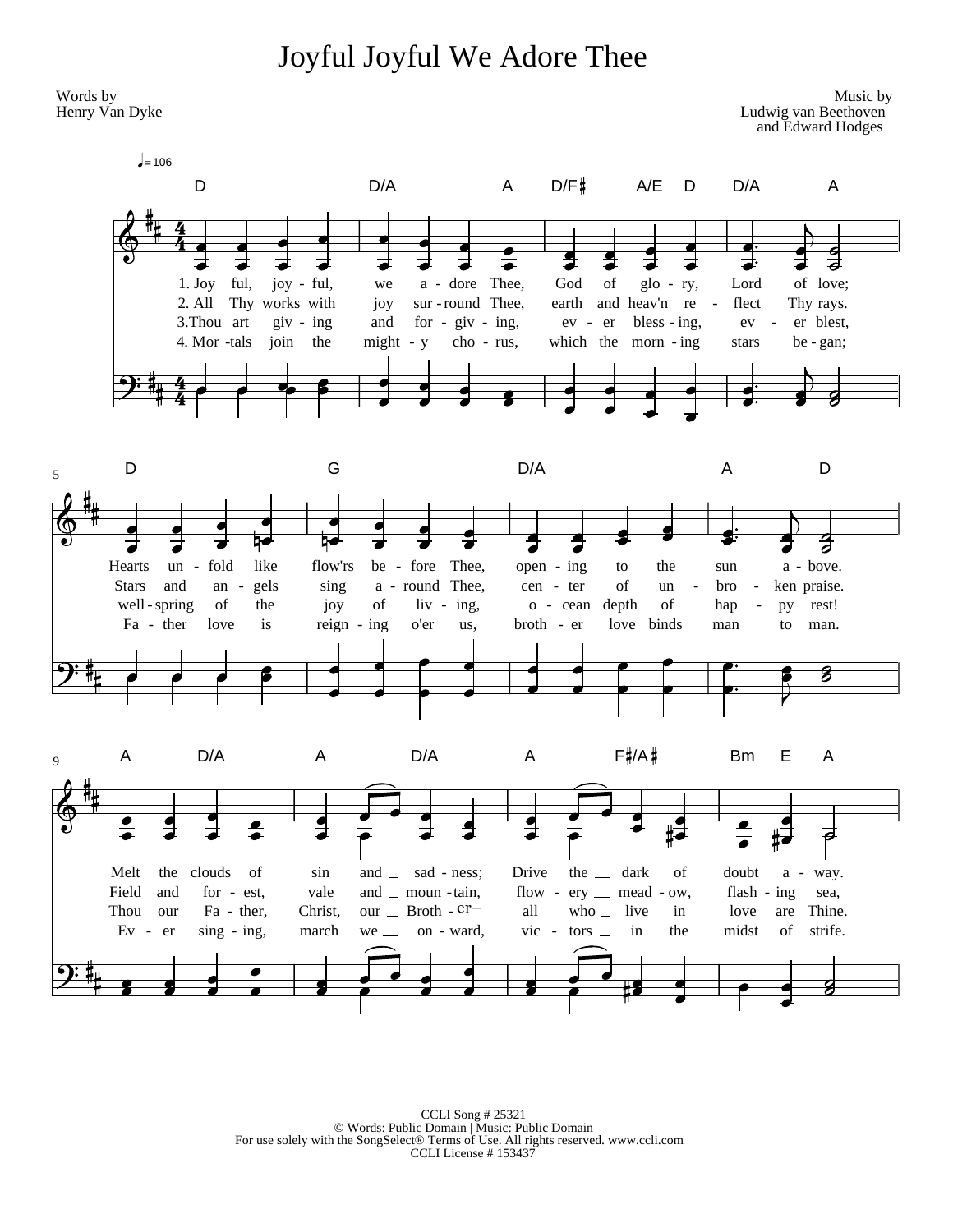# Joyful Joyful We Adore Thee



CCLI Song # 25321 © Words: Public Domain | Music: Public Domain For use solely with the SongSelect® Terms of Use. All rights reserved. www.ccli.com CCLI License # 153437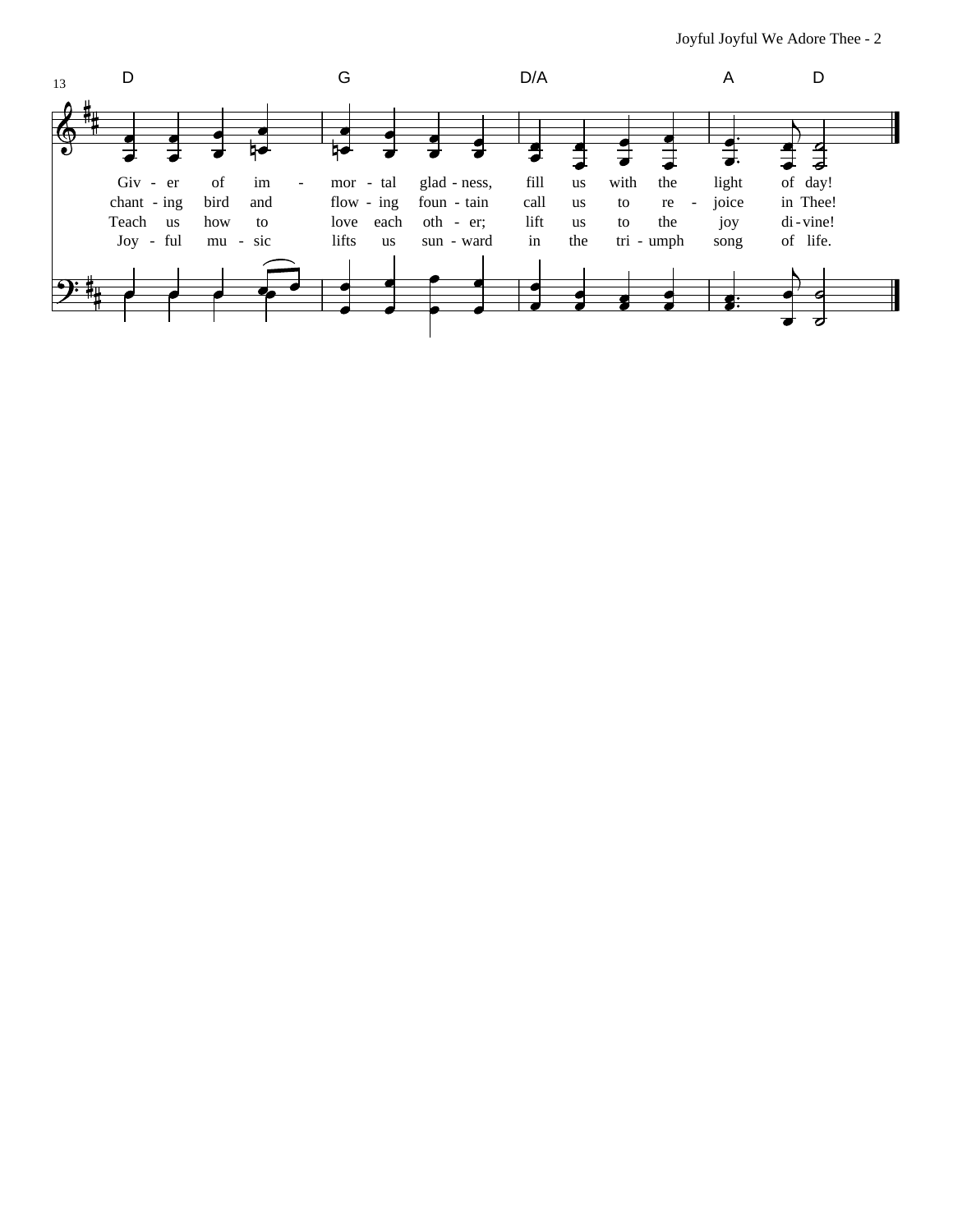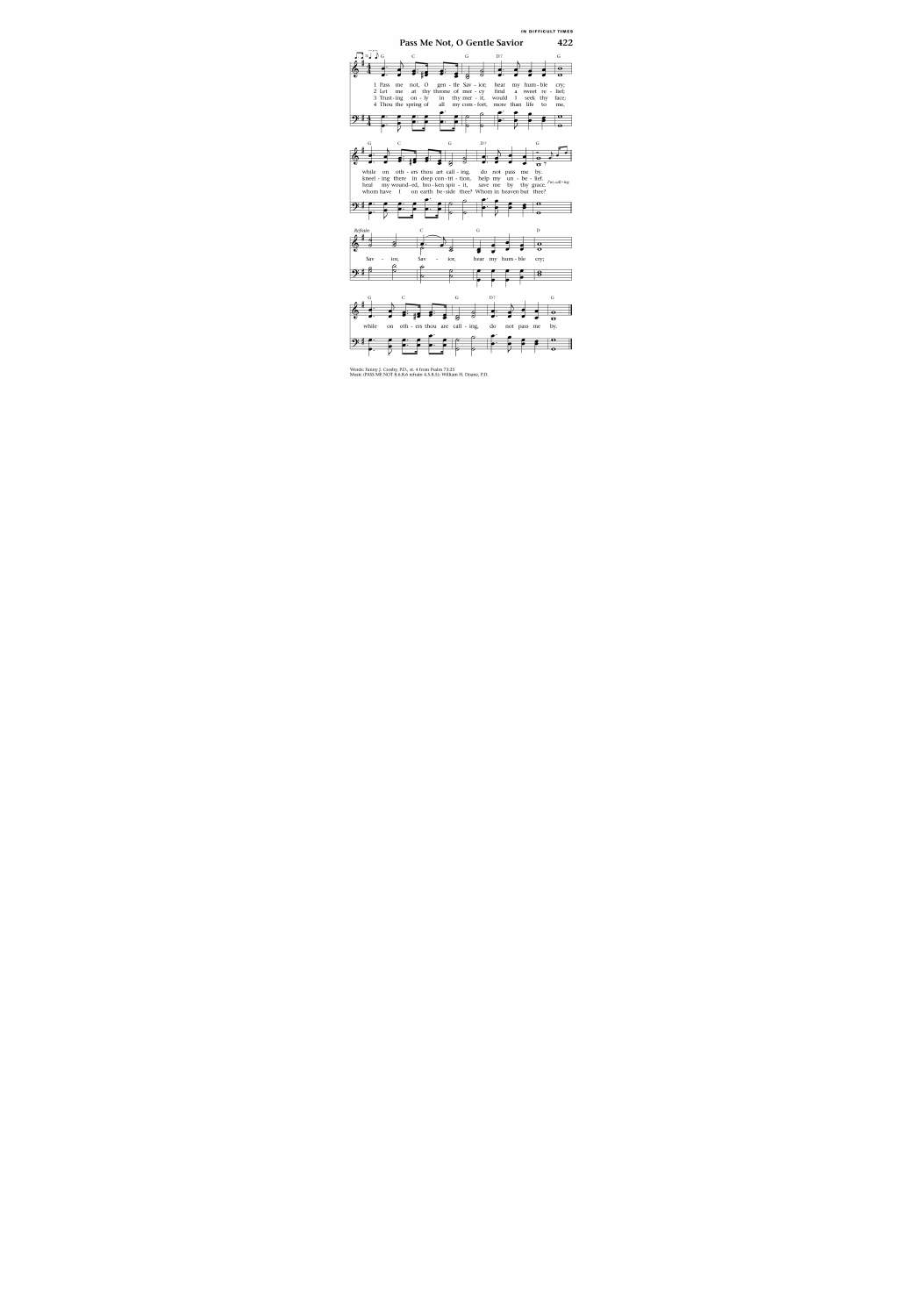

Words: Fanny J. Crosby, P.D., st. 4 from Psalm 73:25 Music (PASS ME NOT 8.6.8.6 refrain 4.5.8.5): William H. Doane, P.D.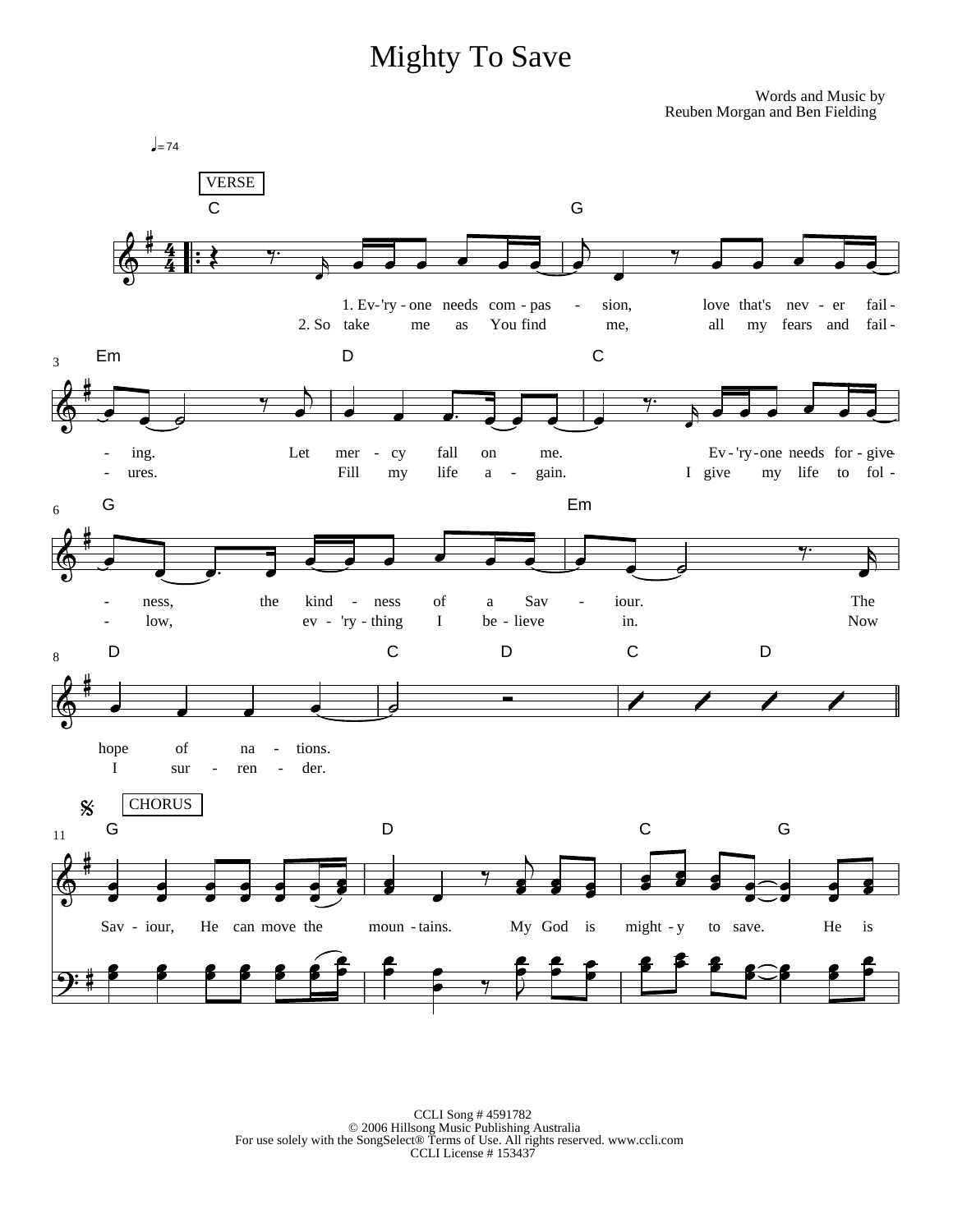# **Mighty To Save**

Words and Music by Reuben Morgan and Ben Fielding



 $\begin{tabular}{c} CCLI Song \#4591782 \\ \hspace{1cm} \textcircled{2006} \text{Hillsong Music Publishing Australia} \\ \text{For use solely with the SongSelect} \textcircled{Terms of Use. All rights reserved. www.ccli.com} \\ \hspace{1cm} CCLI License \#153437 \end{tabular}$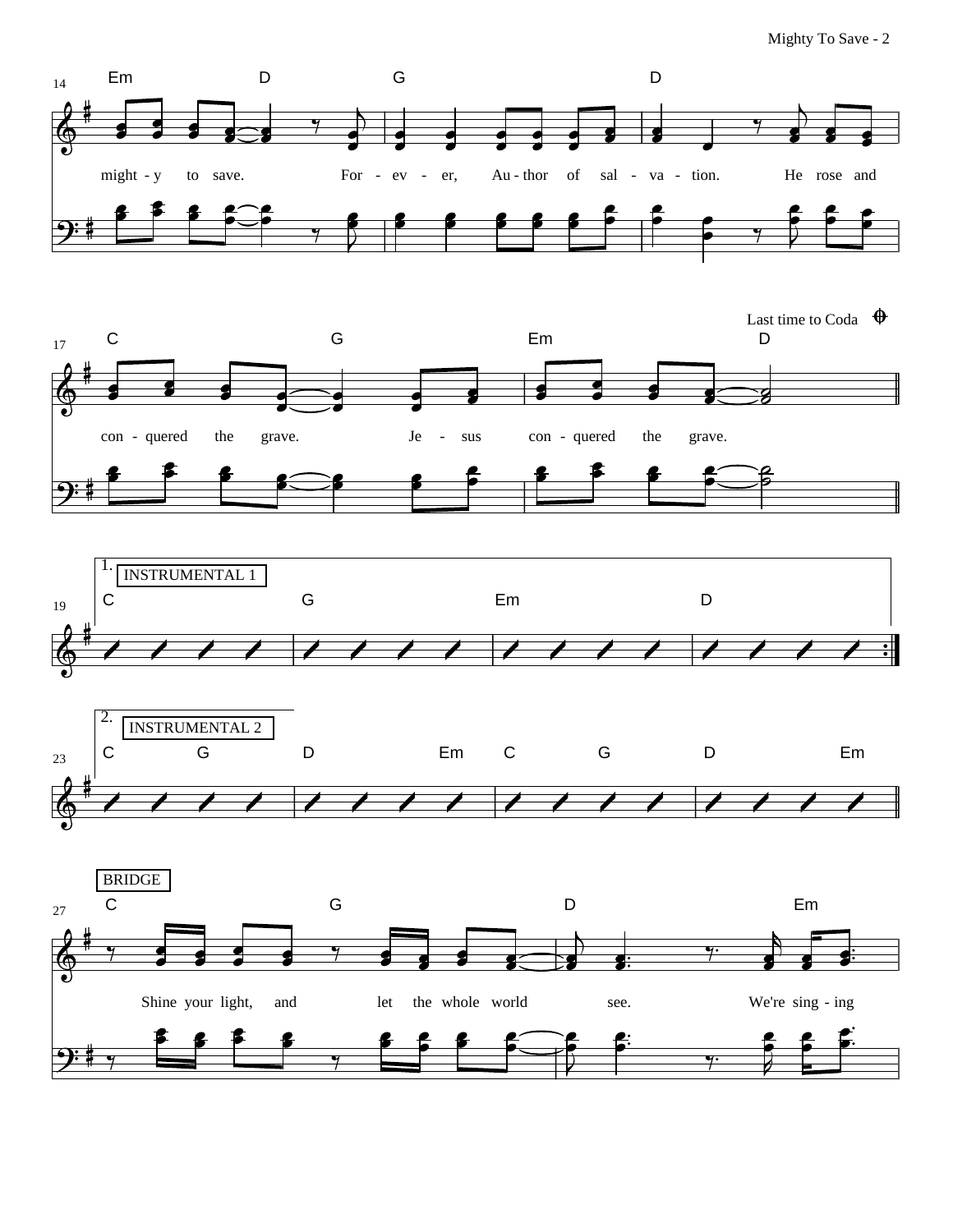D



14

€

Em D

G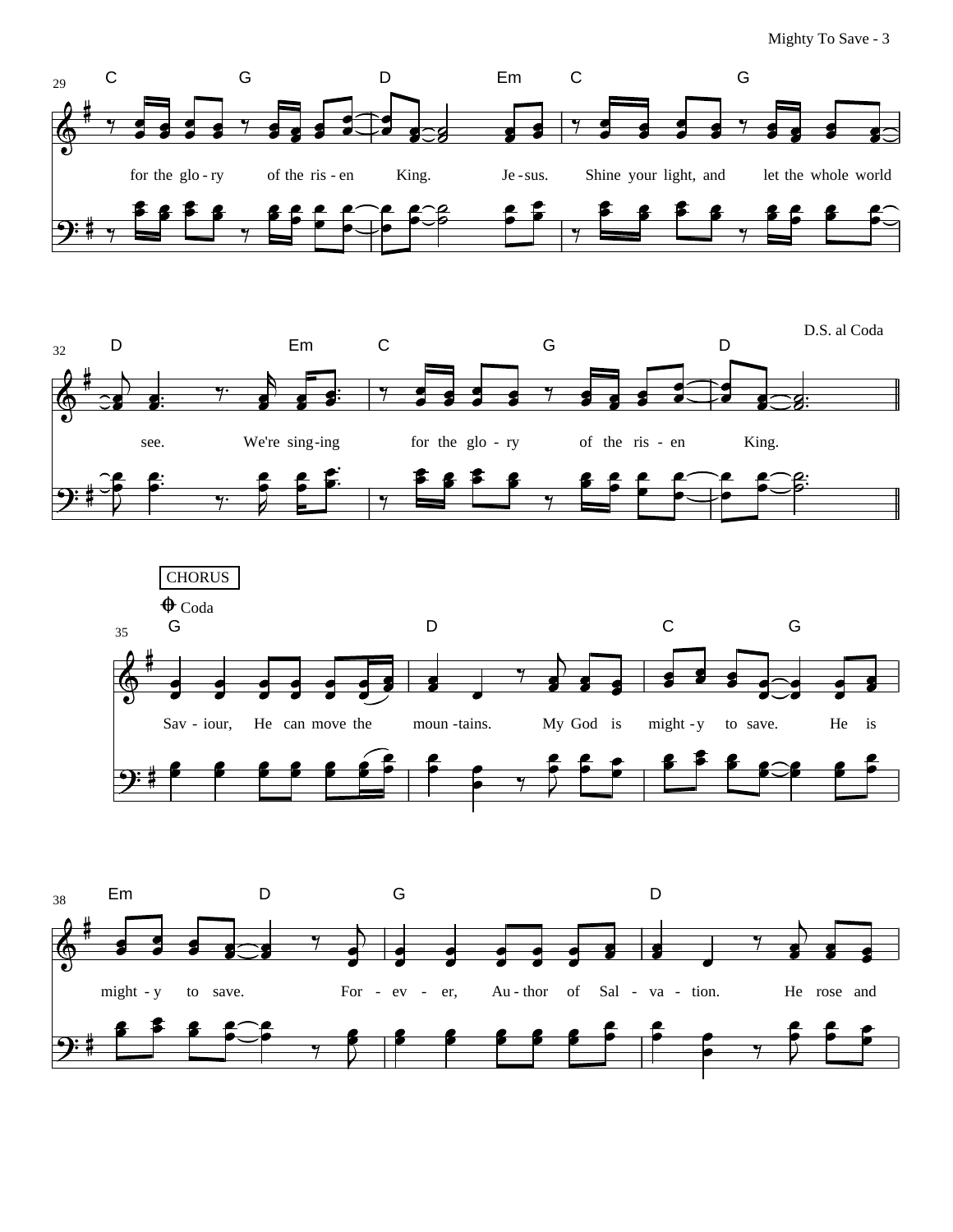





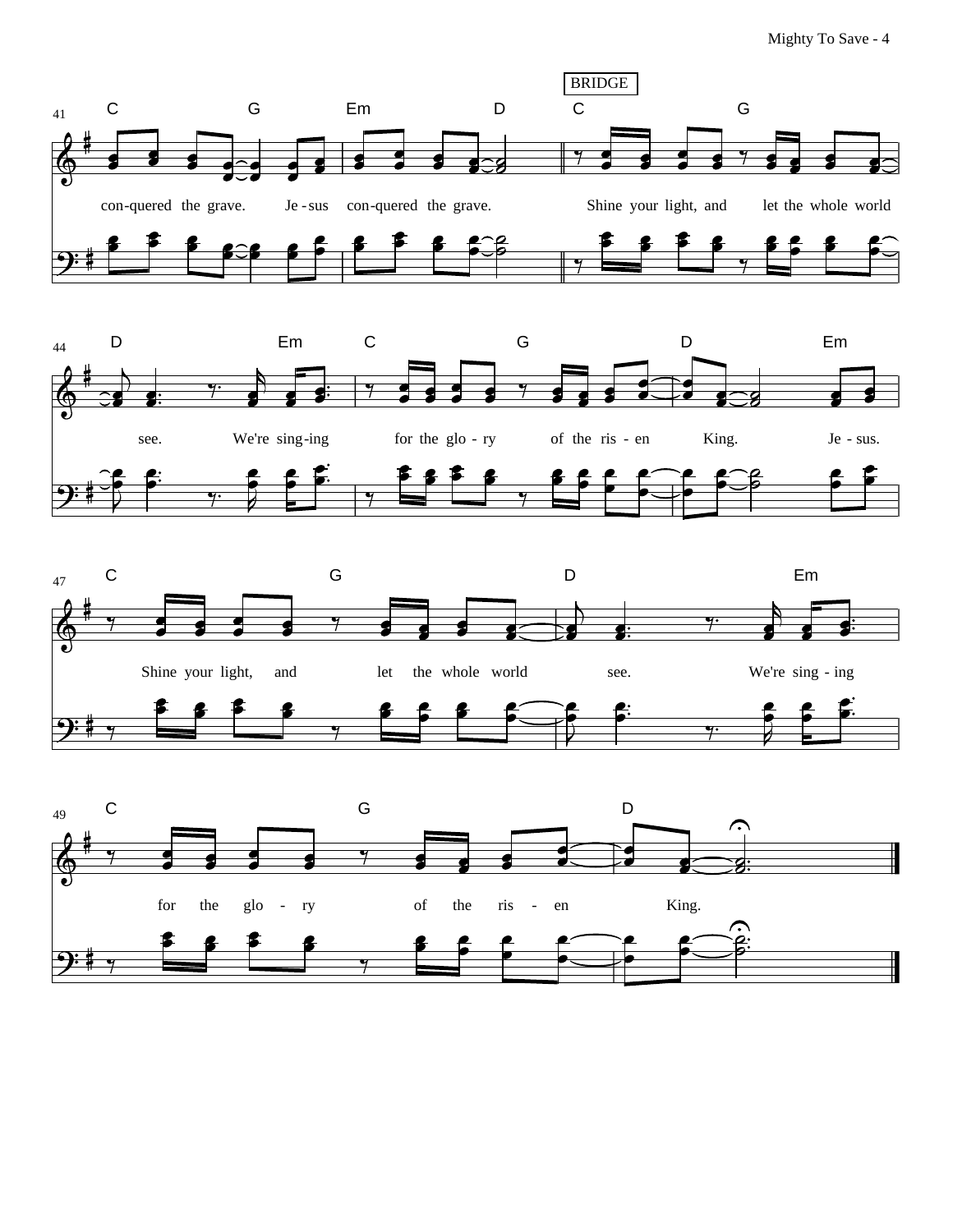





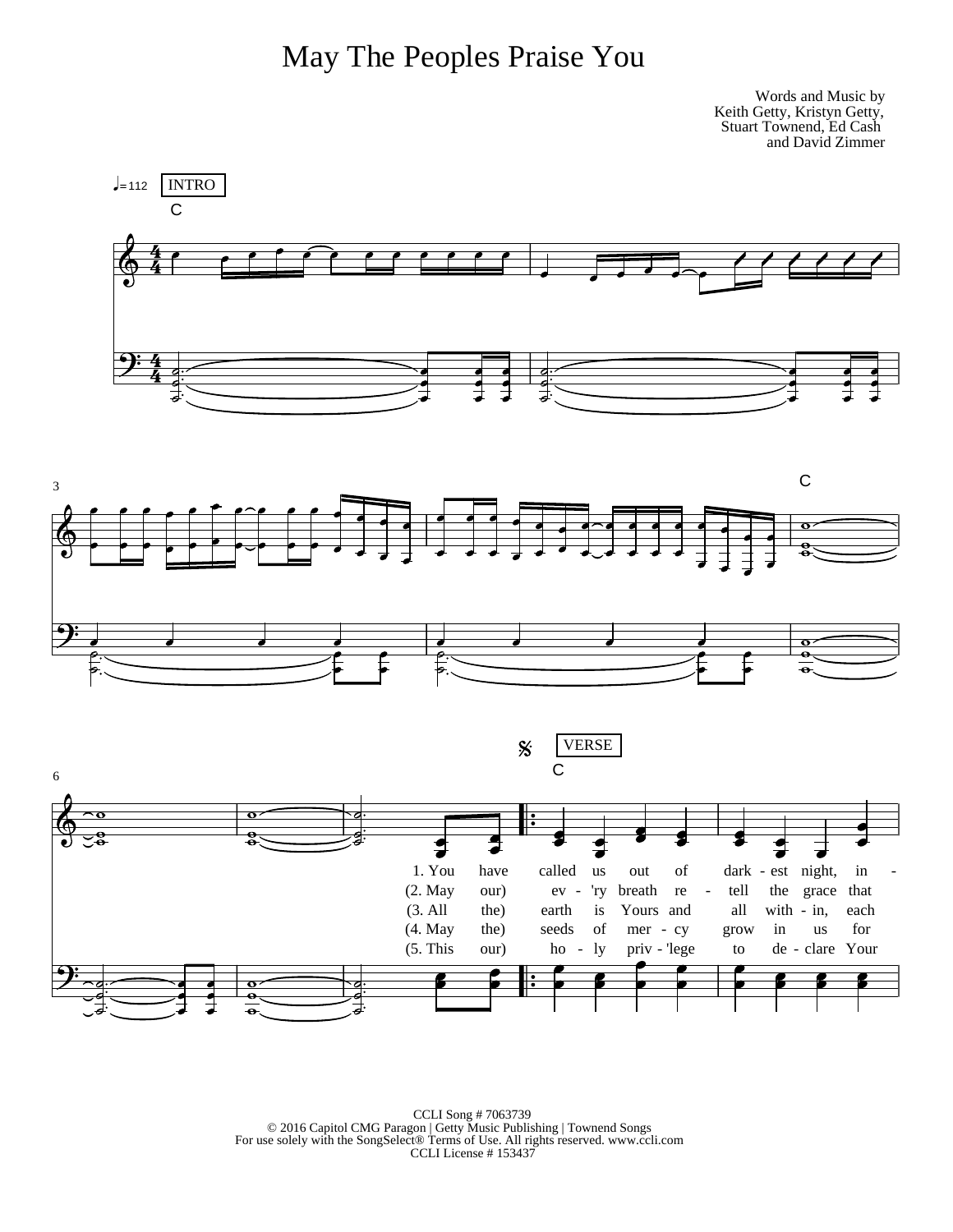

Words and Music by Keith Getty, Kristyn Getty, Stuart Townend, Ed Cash and David Zimmer



 $\text{CCLI Song \#7063739} \\ \text{\textcircled{2016} Capitol CMG Paragon} \mid \text{Getty Music Publishing} \mid \text{Townend Songs} \\ \text{For use solely with the SongSelect@ Terms of Use. All rights reserved. [www.ccli.com](http://www.ccli.com) CCLI License \# 153437} \\ \text{\textcircled{2016} Capitol CMG Paragon} \mid \text{Getty Music Publishing} \mid \text{Town.} \\ \text{CCLI License} \mid \text{153437} \\ \text{\textcircled{2016} Isomylcylcylcylcylcylcylcylcylcylcylcylcylcylcylcylcylcylc$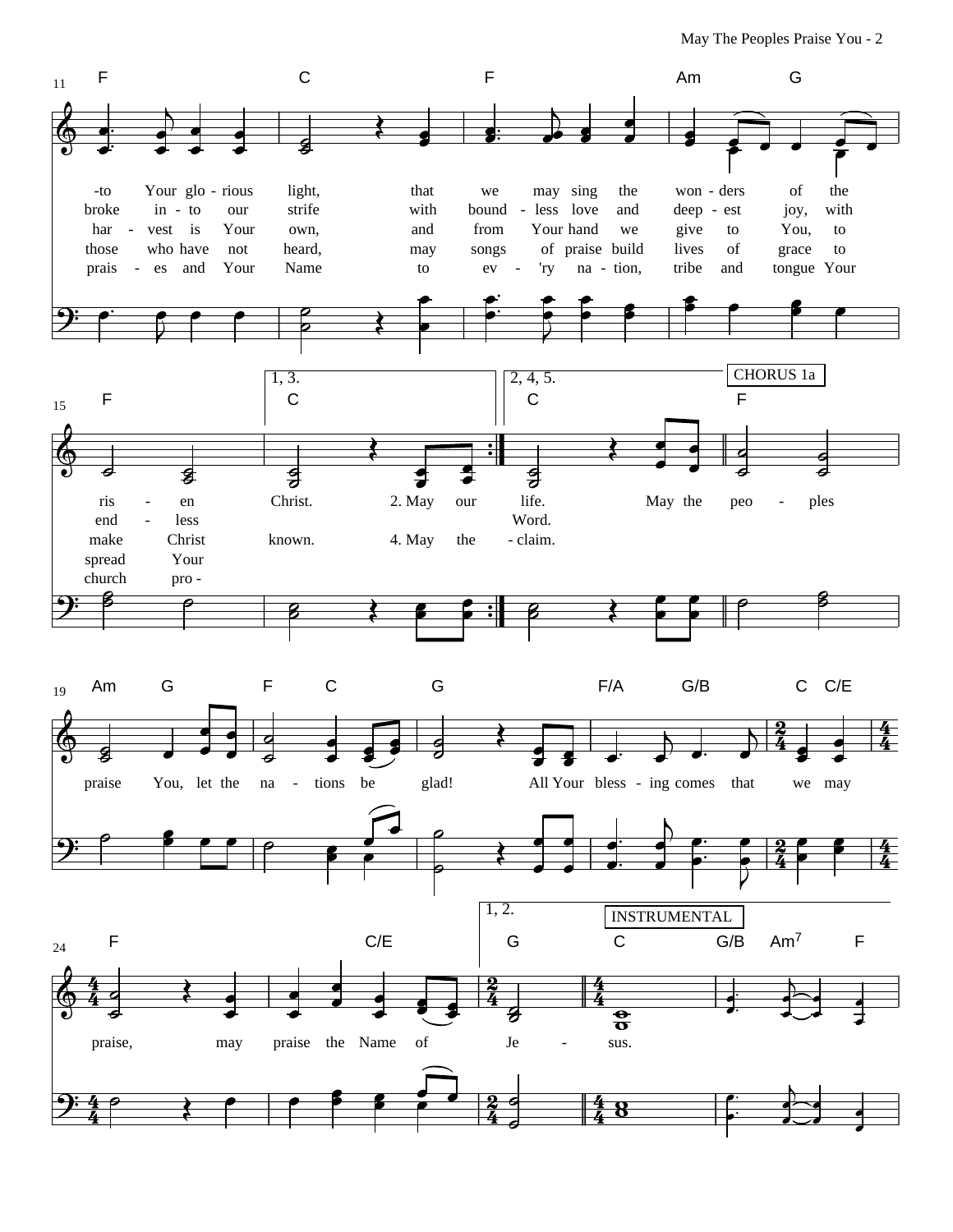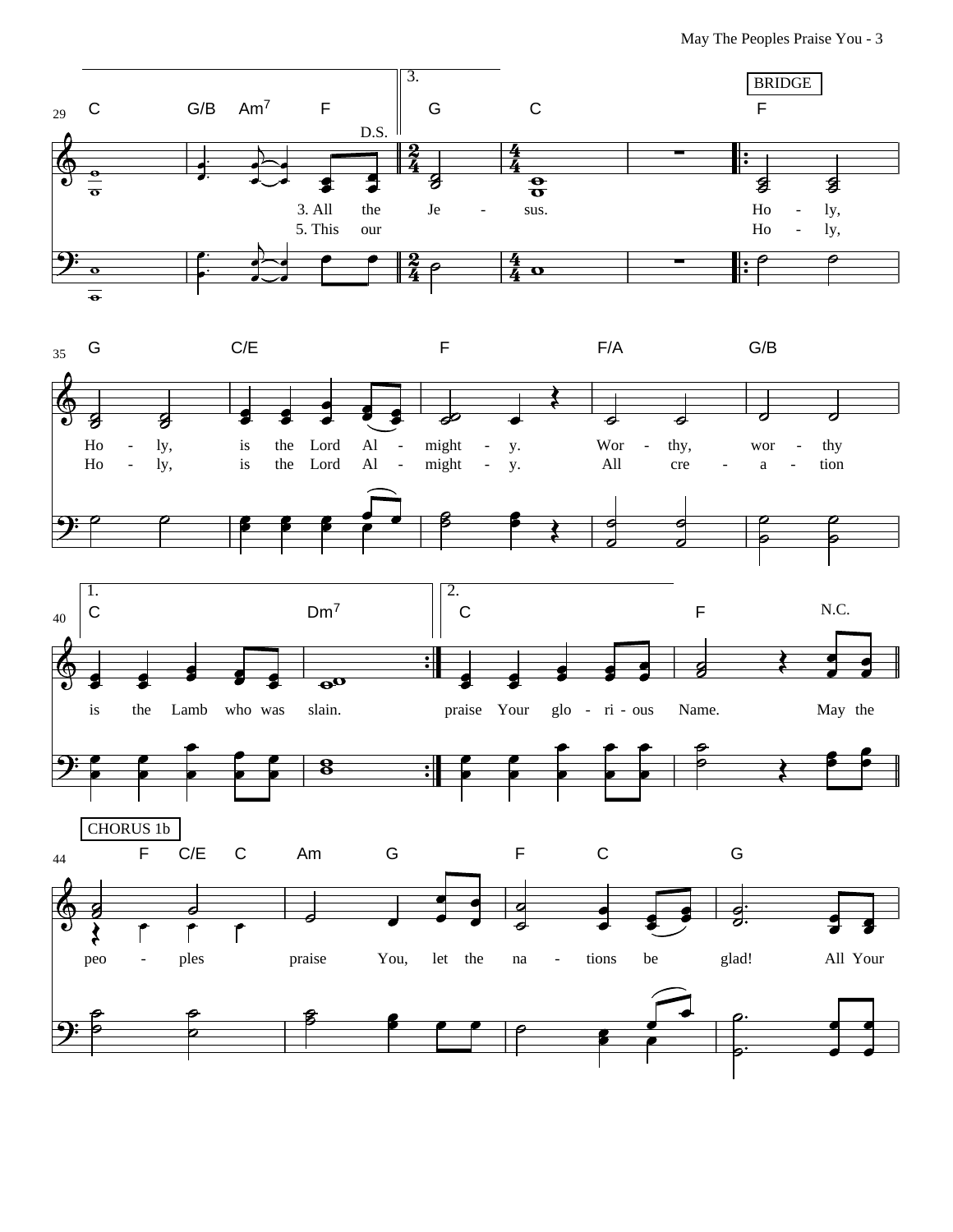May The Peoples Praise You - 3